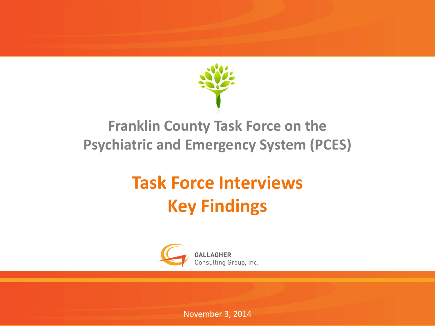

#### **Franklin County Task Force on the Psychiatric and Emergency System (PCES)**

#### **Task Force Interviews Key Findings**



November 3, 2014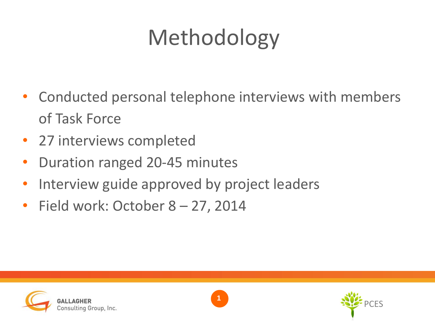# Methodology

- Conducted personal telephone interviews with members of Task Force
- 27 interviews completed
- Duration ranged 20-45 minutes
- Interview guide approved by project leaders
- Field work: October 8 27, 2014



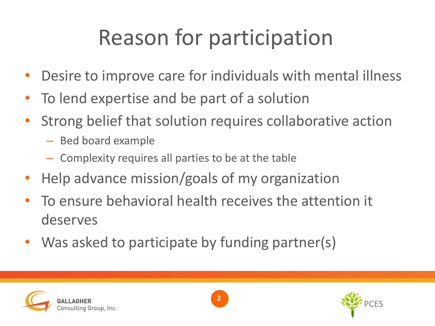### Reason for participation

- Desire to improve care for individuals with mental illness
- To lend expertise and be part of a solution
- Strong belief that solution requires collaborative action
	- Bed board example
	- Complexity requires all parties to be at the table
- Help advance mission/goals of my organization
- To ensure behavioral health receives the attention it deserves
- Was asked to participate by funding partner(s)





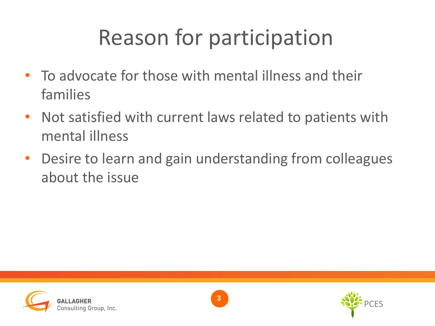### Reason for participation

- To advocate for those with mental illness and their families
- Not satisfied with current laws related to patients with mental illness
- Desire to learn and gain understanding from colleagues about the issue





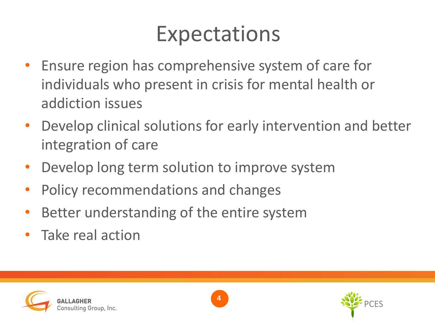### Expectations

- Ensure region has comprehensive system of care for individuals who present in crisis for mental health or addiction issues
- Develop clinical solutions for early intervention and better integration of care
- Develop long term solution to improve system
- Policy recommendations and changes
- Better understanding of the entire system
- Take real action





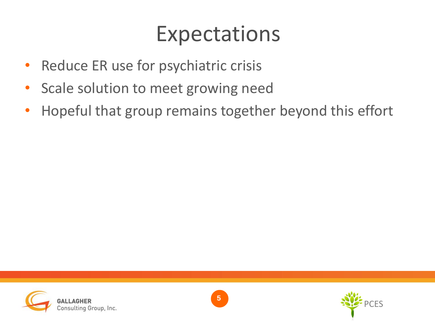#### Expectations

- Reduce ER use for psychiatric crisis
- Scale solution to meet growing need
- Hopeful that group remains together beyond this effort





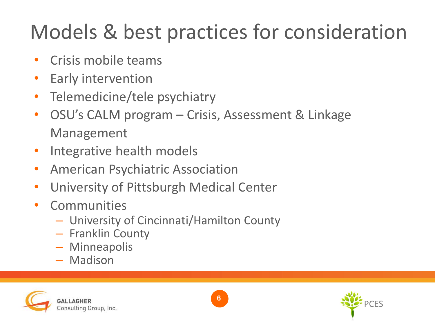### Models & best practices for consideration

- Crisis mobile teams
- Early intervention
- Telemedicine/tele psychiatry
- OSU's CALM program Crisis, Assessment & Linkage Management
- Integrative health models
- American Psychiatric Association
- University of Pittsburgh Medical Center
- **Communities** 
	- University of Cincinnati/Hamilton County
	- Franklin County
	- Minneapolis
	- Madison





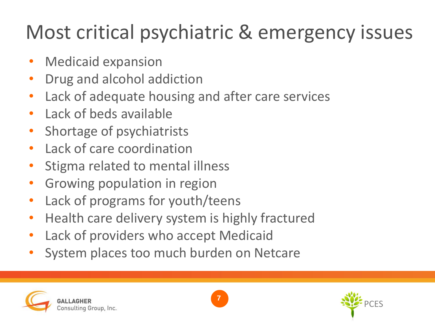#### Most critical psychiatric & emergency issues

- Medicaid expansion
- Drug and alcohol addiction
- Lack of adequate housing and after care services
- Lack of beds available
- Shortage of psychiatrists
- Lack of care coordination
- Stigma related to mental illness
- Growing population in region
- Lack of programs for youth/teens
- Health care delivery system is highly fractured
- Lack of providers who accept Medicaid
- System places too much burden on Netcare





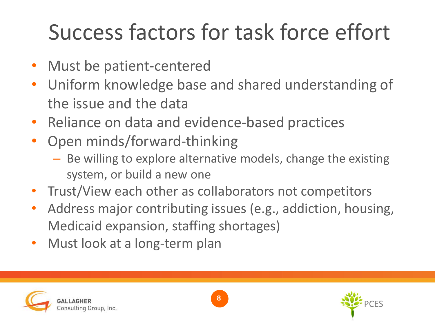### Success factors for task force effort

- Must be patient-centered
- Uniform knowledge base and shared understanding of the issue and the data
- Reliance on data and evidence-based practices
- Open minds/forward-thinking
	- Be willing to explore alternative models, change the existing system, or build a new one
- Trust/View each other as collaborators not competitors
- Address major contributing issues (e.g., addiction, housing, Medicaid expansion, staffing shortages)
- Must look at a long-term plan





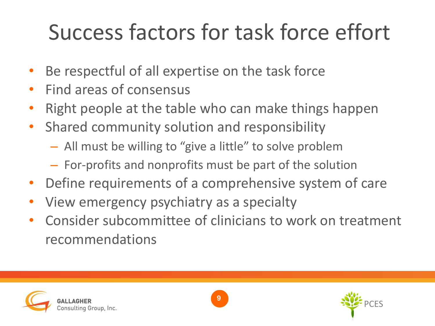### Success factors for task force effort

- Be respectful of all expertise on the task force
- Find areas of consensus
- Right people at the table who can make things happen
- Shared community solution and responsibility
	- All must be willing to "give a little" to solve problem
	- For-profits and nonprofits must be part of the solution
- Define requirements of a comprehensive system of care
- View emergency psychiatry as a specialty
- Consider subcommittee of clinicians to work on treatment recommendations





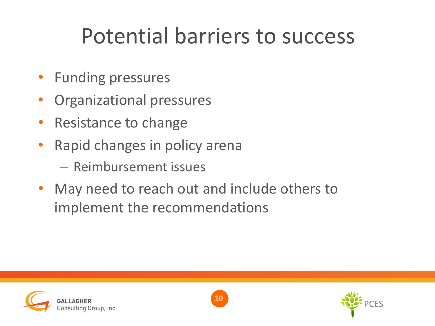### Potential barriers to success

- Funding pressures
- Organizational pressures
- Resistance to change
- Rapid changes in policy arena
	- Reimbursement issues
- May need to reach out and include others to implement the recommendations



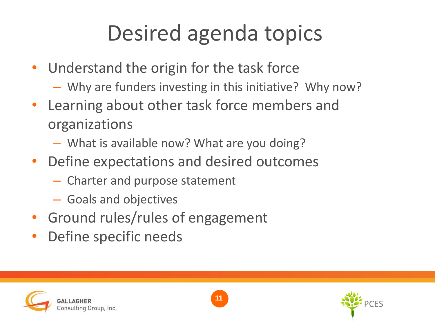### Desired agenda topics

- Understand the origin for the task force
	- Why are funders investing in this initiative? Why now?
- Learning about other task force members and organizations
	- What is available now? What are you doing?
- Define expectations and desired outcomes
	- Charter and purpose statement
	- Goals and objectives
- Ground rules/rules of engagement
- Define specific needs





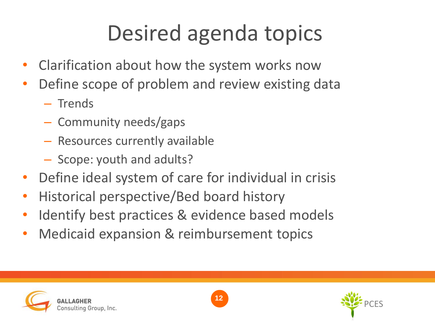# Desired agenda topics

- Clarification about how the system works now
- Define scope of problem and review existing data
	- Trends
	- Community needs/gaps
	- Resources currently available
	- Scope: youth and adults?
- Define ideal system of care for individual in crisis
- Historical perspective/Bed board history
- Identify best practices & evidence based models
- Medicaid expansion & reimbursement topics





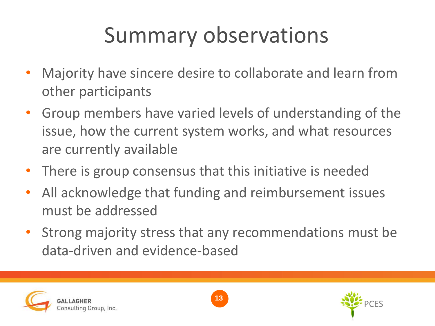### Summary observations

- Majority have sincere desire to collaborate and learn from other participants
- Group members have varied levels of understanding of the issue, how the current system works, and what resources are currently available
- There is group consensus that this initiative is needed
- All acknowledge that funding and reimbursement issues must be addressed
- Strong majority stress that any recommendations must be data-driven and evidence-based





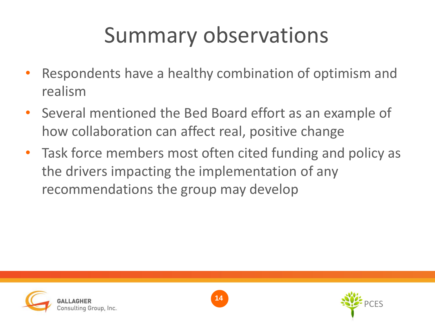### Summary observations

- Respondents have a healthy combination of optimism and realism
- Several mentioned the Bed Board effort as an example of how collaboration can affect real, positive change
- Task force members most often cited funding and policy as the drivers impacting the implementation of any recommendations the group may develop